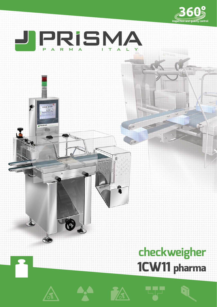